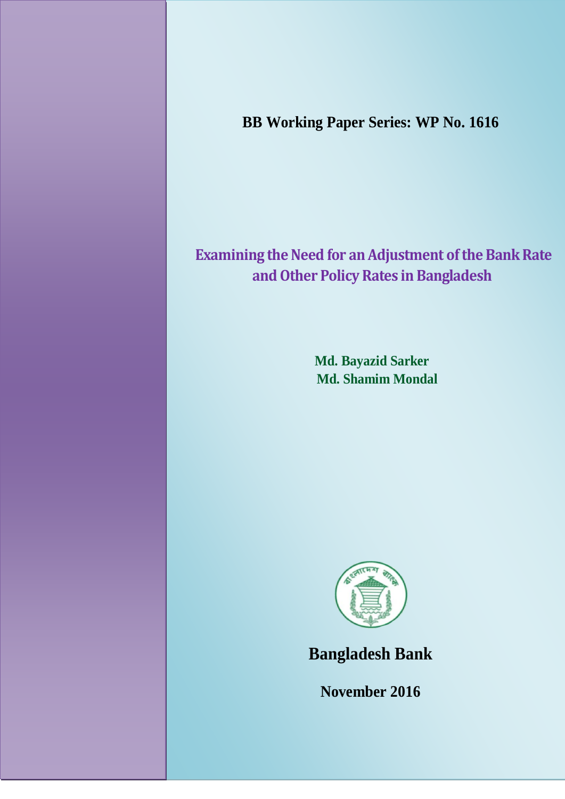**BB Working Paper Series: WP No. 1616**

# **Examining the Need for an Adjustment of the Bank Rate and Other Policy Rates in Bangladesh**

**Md. Bayazid Sarker Md. Shamim Mondal**



**Bangladesh Bank**

**November 2016**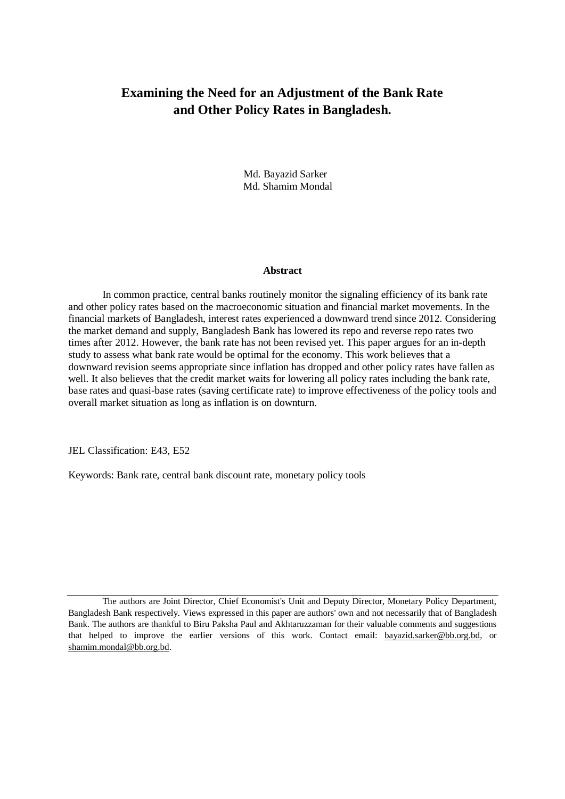## **Examining the Need for an Adjustment of the Bank Rate and Other Policy Rates in Bangladesh.**

 Md. Bayazid Sarker Md. Shamim Mondal

#### **Abstract**

In common practice, central banks routinely monitor the signaling efficiency of its bank rate and other policy rates based on the macroeconomic situation and financial market movements. In the financial markets of Bangladesh, interest rates experienced a downward trend since 2012. Considering the market demand and supply, Bangladesh Bank has lowered its repo and reverse repo rates two times after 2012. However, the bank rate has not been revised yet. This paper argues for an in-depth study to assess what bank rate would be optimal for the economy. This work believes that a downward revision seems appropriate since inflation has dropped and other policy rates have fallen as well. It also believes that the credit market waits for lowering all policy rates including the bank rate, base rates and quasi-base rates (saving certificate rate) to improve effectiveness of the policy tools and overall market situation as long as inflation is on downturn.

JEL Classification: E43, E52

Keywords: Bank rate, central bank discount rate, monetary policy tools

The authors are Joint Director, Chief Economist's Unit and Deputy Director, Monetary Policy Department, Bangladesh Bank respectively. Views expressed in this paper are authors' own and not necessarily that of Bangladesh Bank. The authors are thankful to Biru Paksha Paul and Akhtaruzzaman for their valuable comments and suggestions that helped to improve the earlier versions of this work. Contact email: bayazid.sarker@bb.org.bd, or shamim.mondal@bb.org.bd.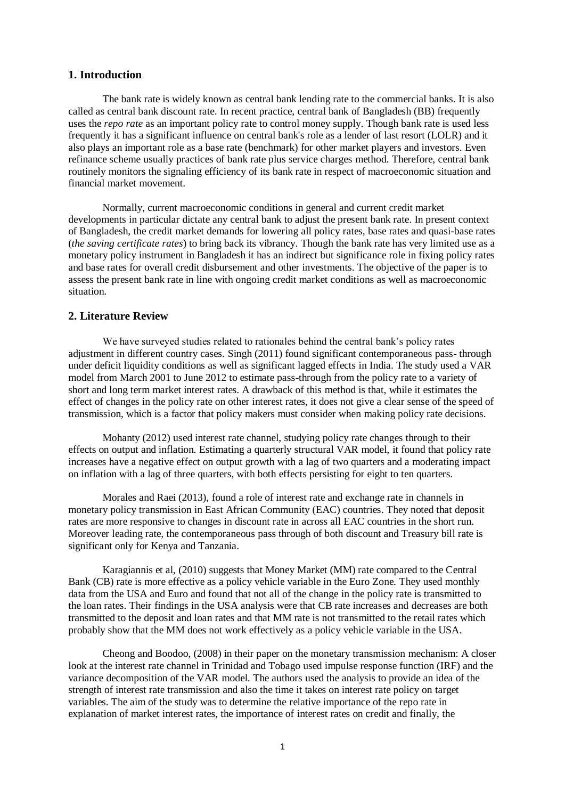#### **1. Introduction**

The bank rate is widely known as central bank lending rate to the commercial banks. It is also called as central bank discount rate. In recent practice, central bank of Bangladesh (BB) frequently uses the *repo rate* as an important policy rate to control money supply. Though bank rate is used less frequently it has a significant influence on central bank's role as a lender of last resort (LOLR) and it also plays an important role as a base rate (benchmark) for other market players and investors. Even refinance scheme usually practices of bank rate plus service charges method. Therefore, central bank routinely monitors the signaling efficiency of its bank rate in respect of macroeconomic situation and financial market movement.

Normally, current macroeconomic conditions in general and current credit market developments in particular dictate any central bank to adjust the present bank rate. In present context of Bangladesh, the credit market demands for lowering all policy rates, base rates and quasi-base rates (*the saving certificate rates*) to bring back its vibrancy. Though the bank rate has very limited use as a monetary policy instrument in Bangladesh it has an indirect but significance role in fixing policy rates and base rates for overall credit disbursement and other investments. The objective of the paper is to assess the present bank rate in line with ongoing credit market conditions as well as macroeconomic situation.

#### **2. Literature Review**

We have surveyed studies related to rationales behind the central bank's policy rates adjustment in different country cases. Singh (2011) found significant contemporaneous pass- through under deficit liquidity conditions as well as significant lagged effects in India. The study used a VAR model from March 2001 to June 2012 to estimate pass-through from the policy rate to a variety of short and long term market interest rates. A drawback of this method is that, while it estimates the effect of changes in the policy rate on other interest rates, it does not give a clear sense of the speed of transmission, which is a factor that policy makers must consider when making policy rate decisions.

Mohanty (2012) used interest rate channel, studying policy rate changes through to their effects on output and inflation. Estimating a quarterly structural VAR model, it found that policy rate increases have a negative effect on output growth with a lag of two quarters and a moderating impact on inflation with a lag of three quarters, with both effects persisting for eight to ten quarters.

Morales and Raei (2013), found a role of interest rate and exchange rate in channels in monetary policy transmission in East African Community (EAC) countries. They noted that deposit rates are more responsive to changes in discount rate in across all EAC countries in the short run. Moreover leading rate, the contemporaneous pass through of both discount and Treasury bill rate is significant only for Kenya and Tanzania.

Karagiannis et al, (2010) suggests that Money Market (MM) rate compared to the Central Bank (CB) rate is more effective as a policy vehicle variable in the Euro Zone. They used monthly data from the USA and Euro and found that not all of the change in the policy rate is transmitted to the loan rates. Their findings in the USA analysis were that CB rate increases and decreases are both transmitted to the deposit and loan rates and that MM rate is not transmitted to the retail rates which probably show that the MM does not work effectively as a policy vehicle variable in the USA.

Cheong and Boodoo, (2008) in their paper on the monetary transmission mechanism: A closer look at the interest rate channel in Trinidad and Tobago used impulse response function (IRF) and the variance decomposition of the VAR model. The authors used the analysis to provide an idea of the strength of interest rate transmission and also the time it takes on interest rate policy on target variables. The aim of the study was to determine the relative importance of the repo rate in explanation of market interest rates, the importance of interest rates on credit and finally, the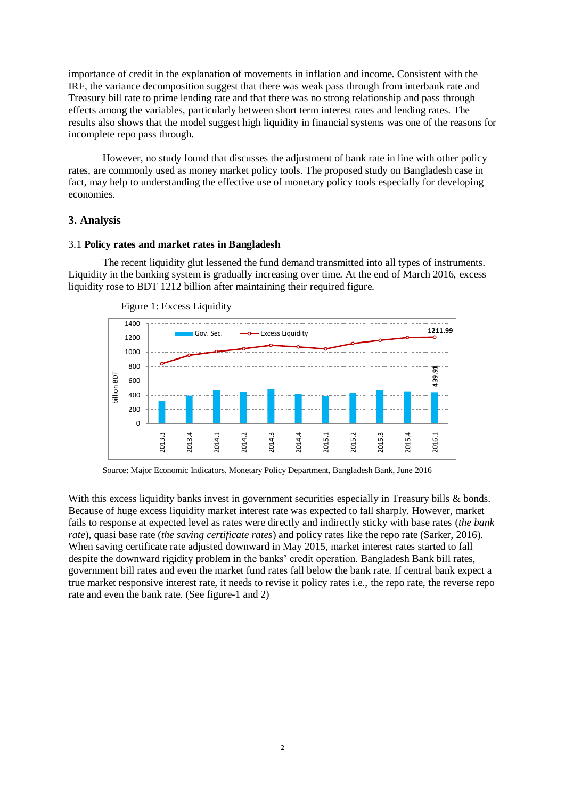importance of credit in the explanation of movements in inflation and income. Consistent with the IRF, the variance decomposition suggest that there was weak pass through from interbank rate and Treasury bill rate to prime lending rate and that there was no strong relationship and pass through effects among the variables, particularly between short term interest rates and lending rates. The results also shows that the model suggest high liquidity in financial systems was one of the reasons for incomplete repo pass through.

However, no study found that discusses the adjustment of bank rate in line with other policy rates, are commonly used as money market policy tools. The proposed study on Bangladesh case in fact, may help to understanding the effective use of monetary policy tools especially for developing economies.

### **3. Analysis**

#### 3.1 **Policy rates and market rates in Bangladesh**

The recent liquidity glut lessened the fund demand transmitted into all types of instruments. Liquidity in the banking system is gradually increasing over time. At the end of March 2016, excess liquidity rose to BDT 1212 billion after maintaining their required figure.





Source: Major Economic Indicators, Monetary Policy Department, Bangladesh Bank, June 2016

With this excess liquidity banks invest in government securities especially in Treasury bills & bonds. Because of huge excess liquidity market interest rate was expected to fall sharply. However, market fails to response at expected level as rates were directly and indirectly sticky with base rates (*the bank rate*), quasi base rate (*the saving certificate rates*) and policy rates like the repo rate (Sarker, 2016). When saving certificate rate adjusted downward in May 2015, market interest rates started to fall despite the downward rigidity problem in the banks' credit operation. Bangladesh Bank bill rates, government bill rates and even the market fund rates fall below the bank rate. If central bank expect a true market responsive interest rate, it needs to revise it policy rates i.e., the repo rate, the reverse repo rate and even the bank rate. (See figure-1 and 2)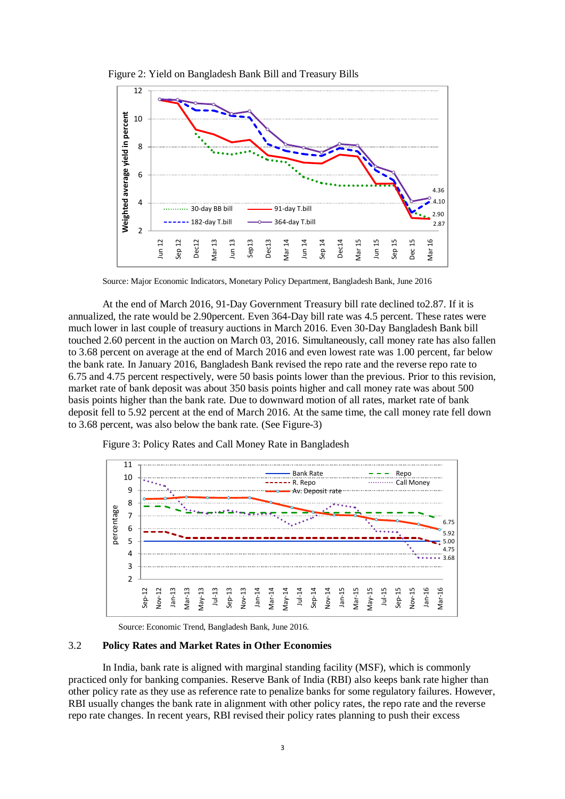

Figure 2: Yield on Bangladesh Bank Bill and Treasury Bills



At the end of March 2016, 91-Day Government Treasury bill rate declined to2.87. If it is annualized, the rate would be 2.90percent. Even 364-Day bill rate was 4.5 percent. These rates were much lower in last couple of treasury auctions in March 2016. Even 30-Day Bangladesh Bank bill touched 2.60 percent in the auction on March 03, 2016. Simultaneously, call money rate has also fallen to 3.68 percent on average at the end of March 2016 and even lowest rate was 1.00 percent, far below the bank rate. In January 2016, Bangladesh Bank revised the repo rate and the reverse repo rate to 6.75 and 4.75 percent respectively, were 50 basis points lower than the previous. Prior to this revision, market rate of bank deposit was about 350 basis points higher and call money rate was about 500 basis points higher than the bank rate. Due to downward motion of all rates, market rate of bank deposit fell to 5.92 percent at the end of March 2016. At the same time, the call money rate fell down to 3.68 percent, was also below the bank rate. (See Figure-3)



Figure 3: Policy Rates and Call Money Rate in Bangladesh

Source: Economic Trend, Bangladesh Bank, June 2016.

#### 3.2 **Policy Rates and Market Rates in Other Economies**

In India, bank rate is aligned with marginal standing facility (MSF), which is commonly practiced only for banking companies. Reserve Bank of India (RBI) also keeps bank rate higher than other policy rate as they use as reference rate to penalize banks for some regulatory failures. However, RBI usually changes the bank rate in alignment with other policy rates, the repo rate and the reverse repo rate changes. In recent years, RBI revised their policy rates planning to push their excess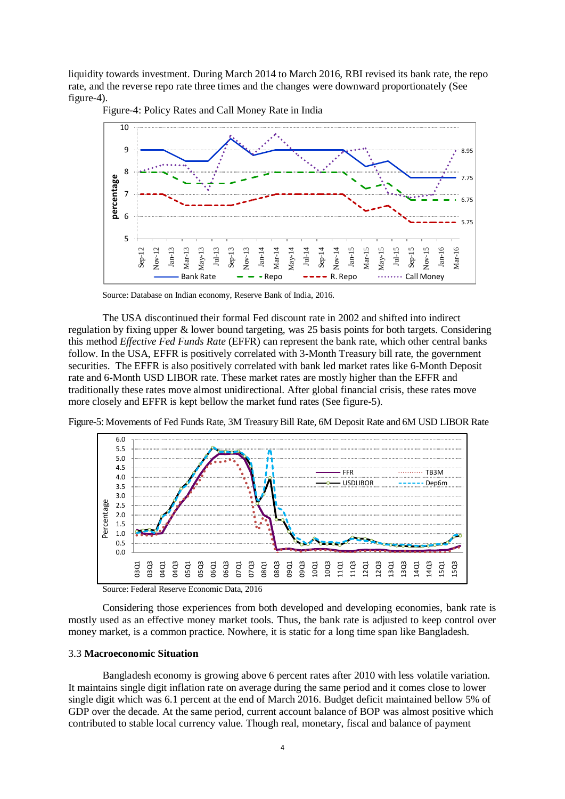liquidity towards investment. During March 2014 to March 2016, RBI revised its bank rate, the repo rate, and the reverse repo rate three times and the changes were downward proportionately (See figure-4).



Figure-4: Policy Rates and Call Money Rate in India

The USA discontinued their formal Fed discount rate in 2002 and shifted into indirect regulation by fixing upper & lower bound targeting, was 25 basis points for both targets. Considering this method *Effective Fed Funds Rate* (EFFR) can represent the bank rate, which other central banks follow. In the USA, EFFR is positively correlated with 3-Month Treasury bill rate, the government securities. The EFFR is also positively correlated with bank led market rates like 6-Month Deposit rate and 6-Month USD LIBOR rate. These market rates are mostly higher than the EFFR and traditionally these rates move almost unidirectional. After global financial crisis, these rates move more closely and EFFR is kept bellow the market fund rates (See figure-5).

Figure-5: Movements of Fed Funds Rate, 3M Treasury Bill Rate, 6M Deposit Rate and 6M USD LIBOR Rate



Source: Federal Reserve Economic Data, 2016

Considering those experiences from both developed and developing economies, bank rate is mostly used as an effective money market tools. Thus, the bank rate is adjusted to keep control over money market, is a common practice. Nowhere, it is static for a long time span like Bangladesh.

#### 3.3 **Macroeconomic Situation**

Bangladesh economy is growing above 6 percent rates after 2010 with less volatile variation. It maintains single digit inflation rate on average during the same period and it comes close to lower single digit which was 6.1 percent at the end of March 2016. Budget deficit maintained bellow 5% of GDP over the decade. At the same period, current account balance of BOP was almost positive which contributed to stable local currency value. Though real, monetary, fiscal and balance of payment

Source: Database on Indian economy, Reserve Bank of India, 2016.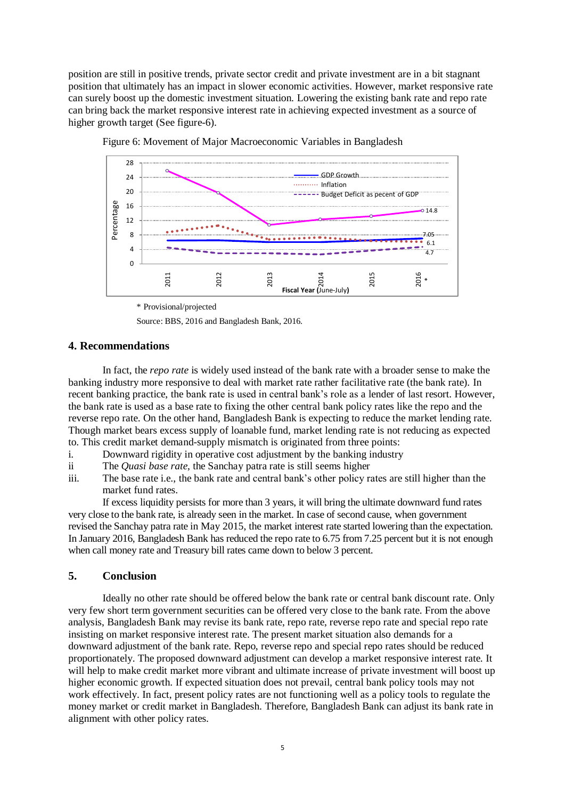position are still in positive trends, private sector credit and private investment are in a bit stagnant position that ultimately has an impact in slower economic activities. However, market responsive rate can surely boost up the domestic investment situation. Lowering the existing bank rate and repo rate can bring back the market responsive interest rate in achieving expected investment as a source of higher growth target (See figure-6).



Figure 6: Movement of Major Macroeconomic Variables in Bangladesh

Source: BBS, 2016 and Bangladesh Bank, 2016.

#### **4. Recommendations**

In fact, the *repo rate* is widely used instead of the bank rate with a broader sense to make the banking industry more responsive to deal with market rate rather facilitative rate (the bank rate). In recent banking practice, the bank rate is used in central bank's role as a lender of last resort. However, the bank rate is used as a base rate to fixing the other central bank policy rates like the repo and the reverse repo rate. On the other hand, Bangladesh Bank is expecting to reduce the market lending rate. Though market bears excess supply of loanable fund, market lending rate is not reducing as expected to. This credit market demand-supply mismatch is originated from three points:

- i. Downward rigidity in operative cost adjustment by the banking industry
- ii The *Quasi base rate*, the Sanchay patra rate is still seems higher
- iii. The base rate i.e., the bank rate and central bank's other policy rates are still higher than the market fund rates.

If excess liquidity persists for more than 3 years, it will bring the ultimate downward fund rates very close to the bank rate, is already seen in the market. In case of second cause, when government revised the Sanchay patra rate in May 2015, the market interest rate started lowering than the expectation. In January 2016, Bangladesh Bank has reduced the repo rate to 6.75 from 7.25 percent but it is not enough when call money rate and Treasury bill rates came down to below 3 percent.

#### **5. Conclusion**

Ideally no other rate should be offered below the bank rate or central bank discount rate. Only very few short term government securities can be offered very close to the bank rate. From the above analysis, Bangladesh Bank may revise its bank rate, repo rate, reverse repo rate and special repo rate insisting on market responsive interest rate. The present market situation also demands for a downward adjustment of the bank rate. Repo, reverse repo and special repo rates should be reduced proportionately. The proposed downward adjustment can develop a market responsive interest rate. It will help to make credit market more vibrant and ultimate increase of private investment will boost up higher economic growth. If expected situation does not prevail, central bank policy tools may not work effectively. In fact, present policy rates are not functioning well as a policy tools to regulate the money market or credit market in Bangladesh. Therefore, Bangladesh Bank can adjust its bank rate in alignment with other policy rates.

<sup>\*</sup> Provisional/projected